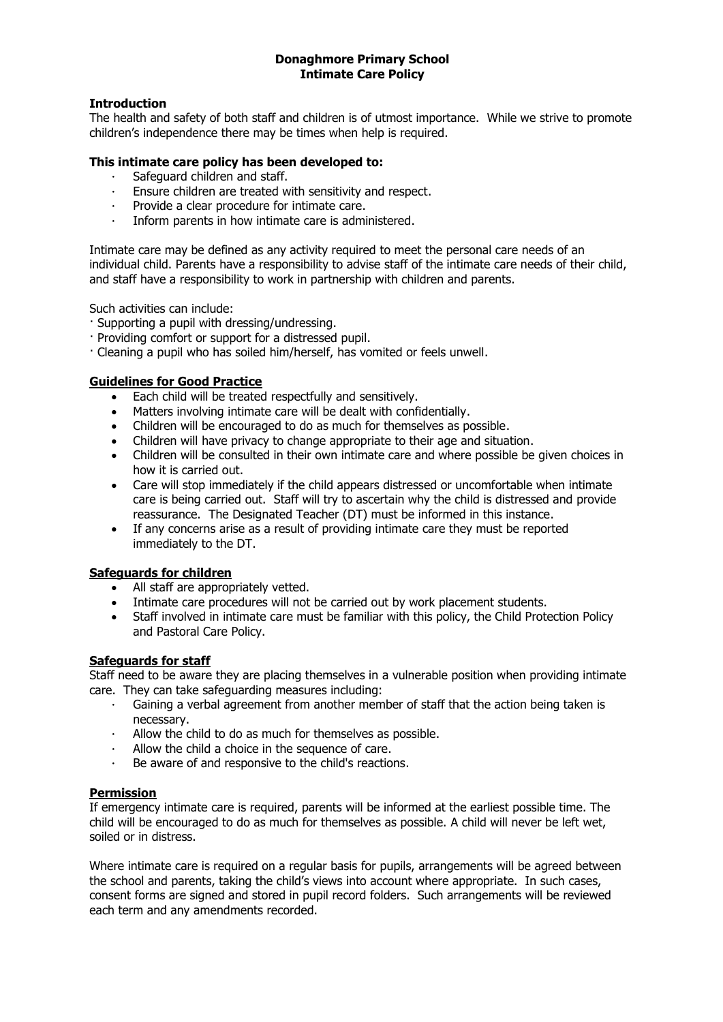# **Donaghmore Primary School Intimate Care Policy**

# **Introduction**

The health and safety of both staff and children is of utmost importance. While we strive to promote children's independence there may be times when help is required.

#### **This intimate care policy has been developed to:**

- · Safeguard children and staff.
- Ensure children are treated with sensitivity and respect.
- · Provide a clear procedure for intimate care.
- · Inform parents in how intimate care is administered.

Intimate care may be defined as any activity required to meet the personal care needs of an individual child. Parents have a responsibility to advise staff of the intimate care needs of their child, and staff have a responsibility to work in partnership with children and parents.

Such activities can include:

- · Supporting a pupil with dressing/undressing.
- · Providing comfort or support for a distressed pupil.
- · Cleaning a pupil who has soiled him/herself, has vomited or feels unwell.

## **Guidelines for Good Practice**

- Each child will be treated respectfully and sensitively.
- Matters involving intimate care will be dealt with confidentially.
- Children will be encouraged to do as much for themselves as possible.
- Children will have privacy to change appropriate to their age and situation.
- Children will be consulted in their own intimate care and where possible be given choices in how it is carried out.
- Care will stop immediately if the child appears distressed or uncomfortable when intimate care is being carried out. Staff will try to ascertain why the child is distressed and provide reassurance. The Designated Teacher (DT) must be informed in this instance.
- If any concerns arise as a result of providing intimate care they must be reported immediately to the DT.

## **Safeguards for children**

- All staff are appropriately vetted.
- Intimate care procedures will not be carried out by work placement students.
- Staff involved in intimate care must be familiar with this policy, the Child Protection Policy and Pastoral Care Policy.

# **Safeguards for staff**

Staff need to be aware they are placing themselves in a vulnerable position when providing intimate care. They can take safeguarding measures including:

- Gaining a verbal agreement from another member of staff that the action being taken is necessary.
- Allow the child to do as much for themselves as possible.
- Allow the child a choice in the sequence of care.
- Be aware of and responsive to the child's reactions.

#### **Permission**

If emergency intimate care is required, parents will be informed at the earliest possible time. The child will be encouraged to do as much for themselves as possible. A child will never be left wet, soiled or in distress.

Where intimate care is required on a regular basis for pupils, arrangements will be agreed between the school and parents, taking the child's views into account where appropriate. In such cases, consent forms are signed and stored in pupil record folders. Such arrangements will be reviewed each term and any amendments recorded.